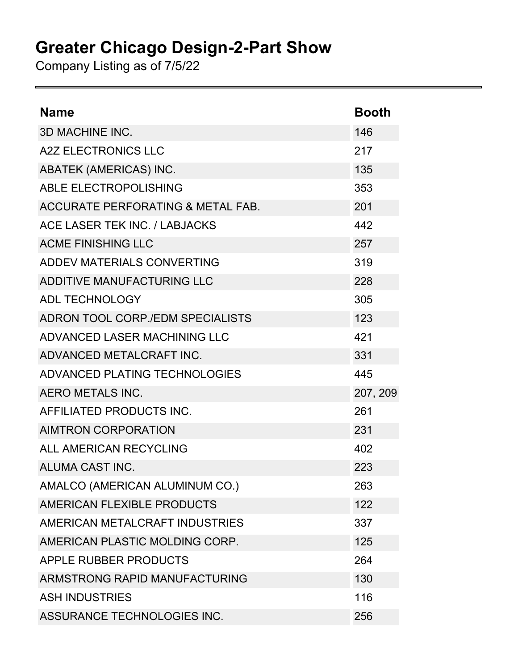## **Greater Chicago Design-2-Part Show**

Company Listing as of 7/5/22

| <b>Name</b>                                  | <b>Booth</b> |
|----------------------------------------------|--------------|
| <b>3D MACHINE INC.</b>                       | 146          |
| <b>A2Z ELECTRONICS LLC</b>                   | 217          |
| <b>ABATEK (AMERICAS) INC.</b>                | 135          |
| <b>ABLE ELECTROPOLISHING</b>                 | 353          |
| <b>ACCURATE PERFORATING &amp; METAL FAB.</b> | 201          |
| ACE LASER TEK INC. / LABJACKS                | 442          |
| <b>ACME FINISHING LLC</b>                    | 257          |
| <b>ADDEV MATERIALS CONVERTING</b>            | 319          |
| ADDITIVE MANUFACTURING LLC                   | 228          |
| <b>ADL TECHNOLOGY</b>                        | 305          |
| ADRON TOOL CORP./EDM SPECIALISTS             | 123          |
| ADVANCED LASER MACHINING LLC                 | 421          |
| ADVANCED METALCRAFT INC.                     | 331          |
| ADVANCED PLATING TECHNOLOGIES                | 445          |
| <b>AERO METALS INC.</b>                      | 207, 209     |
| AFFILIATED PRODUCTS INC.                     | 261          |
| <b>AIMTRON CORPORATION</b>                   | 231          |
| ALL AMERICAN RECYCLING                       | 402          |
| ALUMA CAST INC.                              | 223          |
| AMALCO (AMERICAN ALUMINUM CO.)               | 263          |
| AMERICAN FLEXIBLE PRODUCTS                   | 122          |
| AMERICAN METALCRAFT INDUSTRIES               | 337          |
| AMERICAN PLASTIC MOLDING CORP.               | 125          |
| APPLE RUBBER PRODUCTS                        | 264          |
| ARMSTRONG RAPID MANUFACTURING                | 130          |
| <b>ASH INDUSTRIES</b>                        | 116          |
| ASSURANCE TECHNOLOGIES INC.                  | 256          |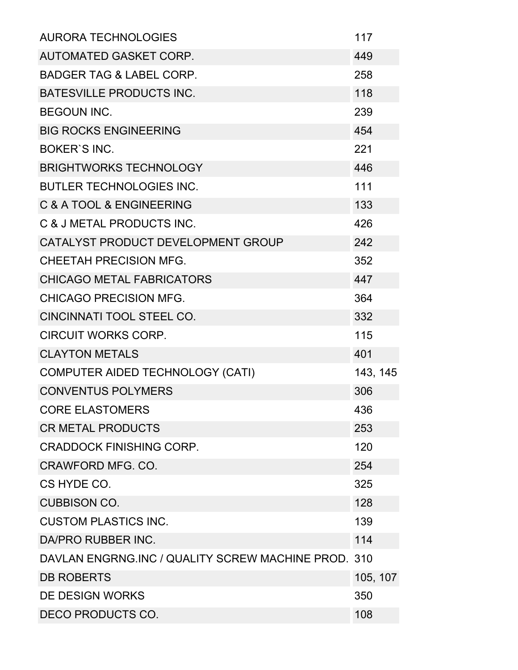| <b>AURORA TECHNOLOGIES</b>                          | 117      |  |
|-----------------------------------------------------|----------|--|
| <b>AUTOMATED GASKET CORP.</b>                       | 449      |  |
| <b>BADGER TAG &amp; LABEL CORP.</b>                 | 258      |  |
| <b>BATESVILLE PRODUCTS INC.</b>                     | 118      |  |
| <b>BEGOUN INC.</b>                                  | 239      |  |
| <b>BIG ROCKS ENGINEERING</b>                        | 454      |  |
| <b>BOKER'S INC.</b>                                 | 221      |  |
| <b>BRIGHTWORKS TECHNOLOGY</b>                       | 446      |  |
| <b>BUTLER TECHNOLOGIES INC.</b>                     | 111      |  |
| C & A TOOL & ENGINEERING                            | 133      |  |
| C & J METAL PRODUCTS INC.                           | 426      |  |
| CATALYST PRODUCT DEVELOPMENT GROUP                  | 242      |  |
| <b>CHEETAH PRECISION MFG.</b>                       | 352      |  |
| <b>CHICAGO METAL FABRICATORS</b>                    | 447      |  |
| <b>CHICAGO PRECISION MFG.</b>                       | 364      |  |
| CINCINNATI TOOL STEEL CO.                           | 332      |  |
| <b>CIRCUIT WORKS CORP.</b>                          | 115      |  |
| <b>CLAYTON METALS</b>                               | 401      |  |
| <b>COMPUTER AIDED TECHNOLOGY (CATI)</b>             | 143, 145 |  |
| <b>CONVENTUS POLYMERS</b>                           | 306      |  |
| <b>CORE ELASTOMERS</b>                              | 436      |  |
| <b>CR METAL PRODUCTS</b>                            | 253      |  |
| <b>CRADDOCK FINISHING CORP.</b>                     | 120      |  |
| CRAWFORD MFG. CO.                                   | 254      |  |
| CS HYDE CO.                                         | 325      |  |
| <b>CUBBISON CO.</b>                                 | 128      |  |
| <b>CUSTOM PLASTICS INC.</b>                         | 139      |  |
| DA/PRO RUBBER INC.                                  | 114      |  |
| DAVLAN ENGRNG.INC / QUALITY SCREW MACHINE PROD. 310 |          |  |
| <b>DB ROBERTS</b>                                   | 105, 107 |  |
| DE DESIGN WORKS                                     | 350      |  |
| DECO PRODUCTS CO.                                   | 108      |  |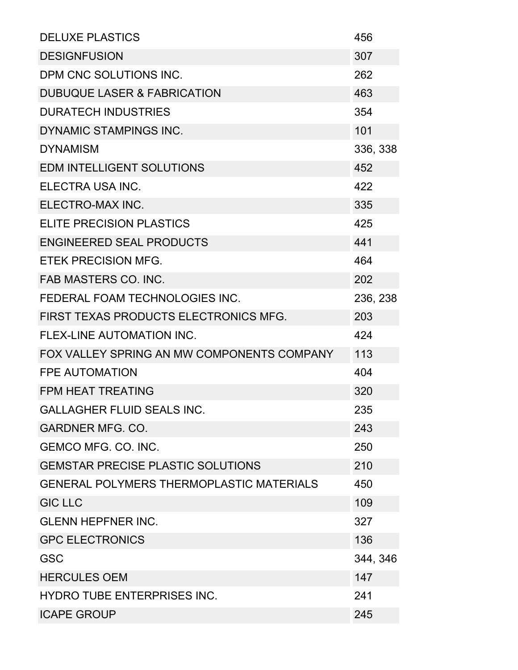| <b>DELUXE PLASTICS</b>                          | 456      |
|-------------------------------------------------|----------|
| <b>DESIGNFUSION</b>                             | 307      |
| DPM CNC SOLUTIONS INC.                          | 262      |
| <b>DUBUQUE LASER &amp; FABRICATION</b>          | 463      |
| <b>DURATECH INDUSTRIES</b>                      | 354      |
| <b>DYNAMIC STAMPINGS INC.</b>                   | 101      |
| <b>DYNAMISM</b>                                 | 336, 338 |
| <b>EDM INTELLIGENT SOLUTIONS</b>                | 452      |
| ELECTRA USA INC.                                | 422      |
| ELECTRO-MAX INC.                                | 335      |
| <b>ELITE PRECISION PLASTICS</b>                 | 425      |
| <b>ENGINEERED SEAL PRODUCTS</b>                 | 441      |
| <b>ETEK PRECISION MFG.</b>                      | 464      |
| <b>FAB MASTERS CO. INC.</b>                     | 202      |
| FEDERAL FOAM TECHNOLOGIES INC.                  | 236, 238 |
| FIRST TEXAS PRODUCTS ELECTRONICS MFG.           | 203      |
| <b>FLEX-LINE AUTOMATION INC.</b>                | 424      |
| FOX VALLEY SPRING AN MW COMPONENTS COMPANY      | 113      |
| <b>FPE AUTOMATION</b>                           | 404      |
| <b>FPM HEAT TREATING</b>                        | 320      |
| <b>GALLAGHER FLUID SEALS INC.</b>               | 235      |
| <b>GARDNER MFG. CO.</b>                         | 243      |
| <b>GEMCO MFG. CO. INC.</b>                      | 250      |
| <b>GEMSTAR PRECISE PLASTIC SOLUTIONS</b>        | 210      |
| <b>GENERAL POLYMERS THERMOPLASTIC MATERIALS</b> | 450      |
| <b>GIC LLC</b>                                  | 109      |
| <b>GLENN HEPFNER INC.</b>                       | 327      |
| <b>GPC ELECTRONICS</b>                          | 136      |
| <b>GSC</b>                                      | 344, 346 |
| <b>HERCULES OEM</b>                             | 147      |
| <b>HYDRO TUBE ENTERPRISES INC.</b>              | 241      |
| <b>ICAPE GROUP</b>                              | 245      |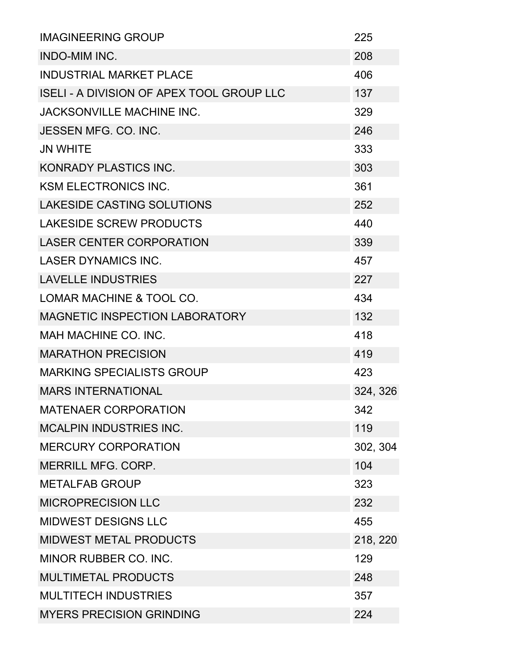| <b>IMAGINEERING GROUP</b>                        | 225      |
|--------------------------------------------------|----------|
| <b>INDO-MIM INC.</b>                             | 208      |
| <b>INDUSTRIAL MARKET PLACE</b>                   | 406      |
| <b>ISELI - A DIVISION OF APEX TOOL GROUP LLC</b> | 137      |
| <b>JACKSONVILLE MACHINE INC.</b>                 | 329      |
| <b>JESSEN MFG. CO. INC.</b>                      | 246      |
| <b>JN WHITE</b>                                  | 333      |
| KONRADY PLASTICS INC.                            | 303      |
| <b>KSM ELECTRONICS INC.</b>                      | 361      |
| <b>LAKESIDE CASTING SOLUTIONS</b>                | 252      |
| <b>LAKESIDE SCREW PRODUCTS</b>                   | 440      |
| <b>LASER CENTER CORPORATION</b>                  | 339      |
| <b>LASER DYNAMICS INC.</b>                       | 457      |
| <b>LAVELLE INDUSTRIES</b>                        | 227      |
| LOMAR MACHINE & TOOL CO.                         | 434      |
| MAGNETIC INSPECTION LABORATORY                   | 132      |
| MAH MACHINE CO. INC.                             | 418      |
| <b>MARATHON PRECISION</b>                        | 419      |
| <b>MARKING SPECIALISTS GROUP</b>                 | 423      |
| <b>MARS INTERNATIONAL</b>                        | 324, 326 |
| <b>MATENAER CORPORATION</b>                      | 342      |
| <b>MCALPIN INDUSTRIES INC.</b>                   | 119      |
| <b>MERCURY CORPORATION</b>                       | 302, 304 |
| <b>MERRILL MFG. CORP.</b>                        | 104      |
| <b>METALFAB GROUP</b>                            | 323      |
| <b>MICROPRECISION LLC</b>                        | 232      |
| <b>MIDWEST DESIGNS LLC</b>                       | 455      |
| <b>MIDWEST METAL PRODUCTS</b>                    | 218, 220 |
| MINOR RUBBER CO. INC.                            | 129      |
| <b>MULTIMETAL PRODUCTS</b>                       | 248      |
| <b>MULTITECH INDUSTRIES</b>                      | 357      |
| <b>MYERS PRECISION GRINDING</b>                  | 224      |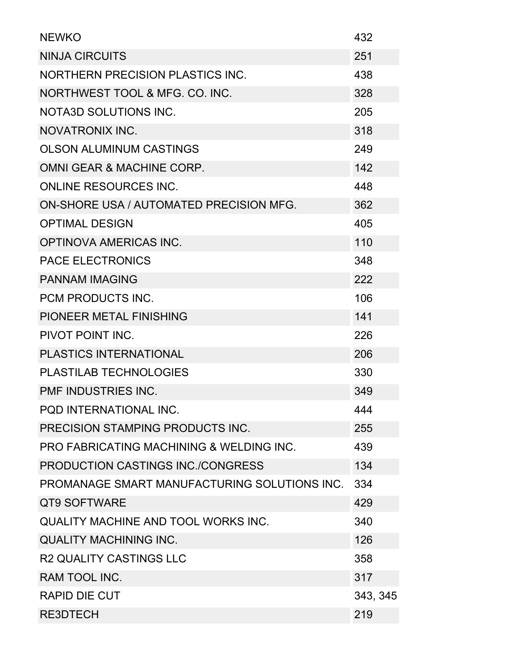| <b>NEWKO</b>                                        | 432      |  |
|-----------------------------------------------------|----------|--|
| <b>NINJA CIRCUITS</b>                               | 251      |  |
| <b>NORTHERN PRECISION PLASTICS INC.</b>             | 438      |  |
| NORTHWEST TOOL & MFG. CO. INC.                      | 328      |  |
| <b>NOTA3D SOLUTIONS INC.</b>                        | 205      |  |
| <b>NOVATRONIX INC.</b>                              | 318      |  |
| <b>OLSON ALUMINUM CASTINGS</b>                      | 249      |  |
| OMNI GEAR & MACHINE CORP.                           | 142      |  |
| <b>ONLINE RESOURCES INC.</b>                        | 448      |  |
| ON-SHORE USA / AUTOMATED PRECISION MFG.             | 362      |  |
| <b>OPTIMAL DESIGN</b>                               | 405      |  |
| <b>OPTINOVA AMERICAS INC.</b>                       | 110      |  |
| <b>PACE ELECTRONICS</b>                             | 348      |  |
| <b>PANNAM IMAGING</b>                               | 222      |  |
| <b>PCM PRODUCTS INC.</b>                            | 106      |  |
| PIONEER METAL FINISHING                             | 141      |  |
| PIVOT POINT INC.                                    | 226      |  |
| <b>PLASTICS INTERNATIONAL</b>                       | 206      |  |
| <b>PLASTILAB TECHNOLOGIES</b>                       | 330      |  |
| PMF INDUSTRIES INC.                                 | 349      |  |
| POD INTERNATIONAL INC.                              | 444      |  |
| PRECISION STAMPING PRODUCTS INC.                    | 255      |  |
| <b>PRO FABRICATING MACHINING &amp; WELDING INC.</b> | 439      |  |
| PRODUCTION CASTINGS INC./CONGRESS                   | 134      |  |
| PROMANAGE SMART MANUFACTURING SOLUTIONS INC.        | 334      |  |
| QT9 SOFTWARE                                        | 429      |  |
| QUALITY MACHINE AND TOOL WORKS INC.                 | 340      |  |
| <b>QUALITY MACHINING INC.</b>                       | 126      |  |
| <b>R2 QUALITY CASTINGS LLC</b>                      | 358      |  |
| RAM TOOL INC.                                       | 317      |  |
| <b>RAPID DIE CUT</b>                                | 343, 345 |  |
| <b>RE3DTECH</b>                                     | 219      |  |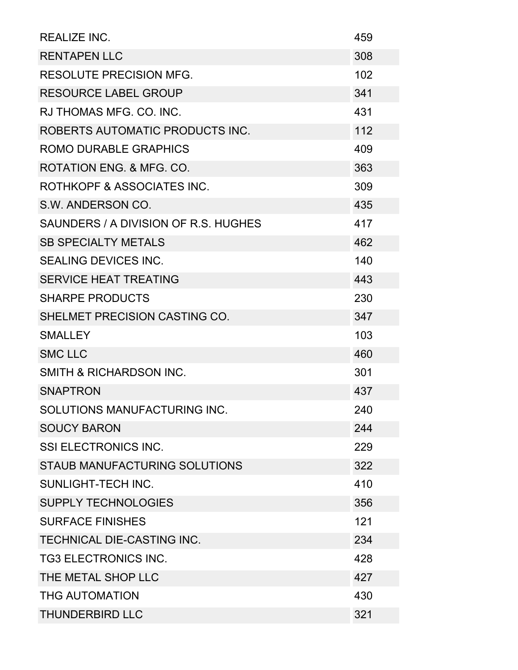| <b>REALIZE INC.</b>                  | 459 |
|--------------------------------------|-----|
| <b>RENTAPEN LLC</b>                  | 308 |
| <b>RESOLUTE PRECISION MFG.</b>       | 102 |
| <b>RESOURCE LABEL GROUP</b>          | 341 |
| RJ THOMAS MFG, CO, INC.              | 431 |
| ROBERTS AUTOMATIC PRODUCTS INC.      | 112 |
| <b>ROMO DURABLE GRAPHICS</b>         | 409 |
| ROTATION ENG. & MFG. CO.             | 363 |
| ROTHKOPF & ASSOCIATES INC.           | 309 |
| S.W. ANDERSON CO.                    | 435 |
| SAUNDERS / A DIVISION OF R.S. HUGHES | 417 |
| <b>SB SPECIALTY METALS</b>           | 462 |
| <b>SEALING DEVICES INC.</b>          | 140 |
| <b>SERVICE HEAT TREATING</b>         | 443 |
| <b>SHARPE PRODUCTS</b>               | 230 |
| SHELMET PRECISION CASTING CO.        | 347 |
| <b>SMALLEY</b>                       | 103 |
| <b>SMC LLC</b>                       | 460 |
| <b>SMITH &amp; RICHARDSON INC.</b>   | 301 |
| <b>SNAPTRON</b>                      | 437 |
| SOLUTIONS MANUFACTURING INC.         | 240 |
| <b>SOUCY BARON</b>                   | 244 |
| <b>SSI ELECTRONICS INC.</b>          | 229 |
| <b>STAUB MANUFACTURING SOLUTIONS</b> | 322 |
| <b>SUNLIGHT-TECH INC.</b>            | 410 |
| <b>SUPPLY TECHNOLOGIES</b>           | 356 |
| <b>SURFACE FINISHES</b>              | 121 |
| <b>TECHNICAL DIE-CASTING INC.</b>    | 234 |
| <b>TG3 ELECTRONICS INC.</b>          | 428 |
| THE METAL SHOP LLC                   | 427 |
| <b>THG AUTOMATION</b>                | 430 |
| <b>THUNDERBIRD LLC</b>               | 321 |